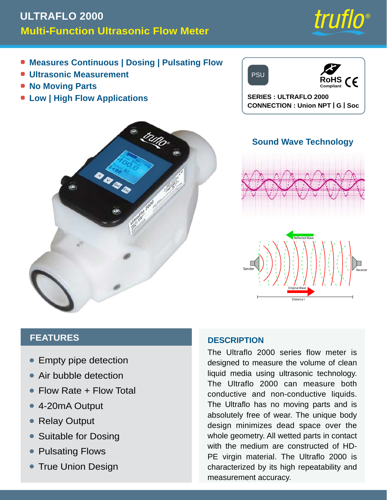# **Multi-Function Ultrasonic Flow Meter ULTRAFLO 2000**

truflo

- **Measures Continuous | Dosing | Pulsating Flow**
- **Ultrasonic Measurement**
- **No Moving Parts**
- **Low | High Flow Applications**



**SERIES : ULTRAFLO 2000 CONNECTION : Union NPT | G | Soc**



## **Sound Wave Technology**





#### **FEATURES**

- Empty pipe detection •
- Air bubble detection
- Flow Rate + Flow Total
- 4-20mA Output
- Relay Output •
- Suitable for Dosing •
- Pulsating Flows
- **True Union Design**

#### **DESCRIPTION**

The Ultraflo 2000 series flow meter is designed to measure the volume of clean liquid media using ultrasonic technology. The Ultraflo 2000 can measure both conductive and non-conductive liquids. The Ultraflo has no moving parts and is absolutely free of wear. The unique body design minimizes dead space over the whole geometry. All wetted parts in contact with the medium are constructed of HD-PE virgin material. The Ultraflo 2000 is characterized by its high repeatability and measurement accuracy.